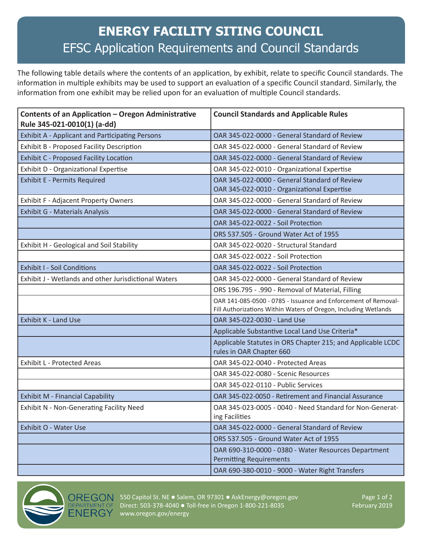## **ENERGY FACILITY SITING COUNCIL** EFSC Application Requirements and Council Standards

The following table details where the contents of an application, by exhibit, relate to specific Council standards. The information in multiple exhibits may be used to support an evaluation of a specific Council standard. Similarly, the information from one exhibit may be relied upon for an evaluation of multiple Council standards.

| Contents of an Application - Oregon Administrative<br>Rule 345-021-0010(1) (a-dd) | <b>Council Standards and Applicable Rules</b>                                                                                     |
|-----------------------------------------------------------------------------------|-----------------------------------------------------------------------------------------------------------------------------------|
| <b>Exhibit A - Applicant and Participating Persons</b>                            | OAR 345-022-0000 - General Standard of Review                                                                                     |
| Exhibit B - Proposed Facility Description                                         | OAR 345-022-0000 - General Standard of Review                                                                                     |
| <b>Exhibit C - Proposed Facility Location</b>                                     | OAR 345-022-0000 - General Standard of Review                                                                                     |
| Exhibit D - Organizational Expertise                                              | OAR 345-022-0010 - Organizational Expertise                                                                                       |
| <b>Exhibit E - Permits Required</b>                                               | OAR 345-022-0000 - General Standard of Review<br>OAR 345-022-0010 - Organizational Expertise                                      |
| <b>Exhibit F - Adjacent Property Owners</b>                                       | OAR 345-022-0000 - General Standard of Review                                                                                     |
| <b>Exhibit G - Materials Analysis</b>                                             | OAR 345-022-0000 - General Standard of Review                                                                                     |
|                                                                                   | OAR 345-022-0022 - Soil Protection                                                                                                |
|                                                                                   | ORS 537.505 - Ground Water Act of 1955                                                                                            |
| Exhibit H - Geological and Soil Stability                                         | OAR 345-022-0020 - Structural Standard                                                                                            |
|                                                                                   | OAR 345-022-0022 - Soil Protection                                                                                                |
| <b>Exhibit I - Soil Conditions</b>                                                | OAR 345-022-0022 - Soil Protection                                                                                                |
| Exhibit J - Wetlands and other Jurisdictional Waters                              | OAR 345-022-0000 - General Standard of Review                                                                                     |
|                                                                                   | ORS 196.795 - .990 - Removal of Material, Filling                                                                                 |
|                                                                                   | OAR 141-085-0500 - 0785 - Issuance and Enforcement of Removal-<br>Fill Authorizations Within Waters of Oregon, Including Wetlands |
| <b>Exhibit K - Land Use</b>                                                       | OAR 345-022-0030 - Land Use                                                                                                       |
|                                                                                   | Applicable Substantive Local Land Use Criteria*                                                                                   |
|                                                                                   | Applicable Statutes in ORS Chapter 215; and Applicable LCDC<br>rules in OAR Chapter 660                                           |
| <b>Exhibit L - Protected Areas</b>                                                | OAR 345-022-0040 - Protected Areas                                                                                                |
|                                                                                   | OAR 345-022-0080 - Scenic Resources                                                                                               |
|                                                                                   | OAR 345-022-0110 - Public Services                                                                                                |
| <b>Exhibit M - Financial Capability</b>                                           | OAR 345-022-0050 - Retirement and Financial Assurance                                                                             |
| <b>Exhibit N - Non-Generating Facility Need</b>                                   | OAR 345-023-0005 - 0040 - Need Standard for Non-Generat-<br>ing Facilities                                                        |
| Exhibit O - Water Use                                                             | OAR 345-022-0000 - General Standard of Review                                                                                     |
|                                                                                   | ORS 537.505 - Ground Water Act of 1955                                                                                            |
|                                                                                   | OAR 690-310-0000 - 0380 - Water Resources Department<br><b>Permitting Requirements</b>                                            |
|                                                                                   | OAR 690-380-0010 - 9000 - Water Right Transfers                                                                                   |



OREGON 550 Capitol St. NE . Salem, OR 97301 . AskEnergy@oregon.gov Page 1 of 2 Direct: 503-378-4040 · Toll-free in Oregon 1-800-221-8035 February 2019 www.oregon.gov/energy